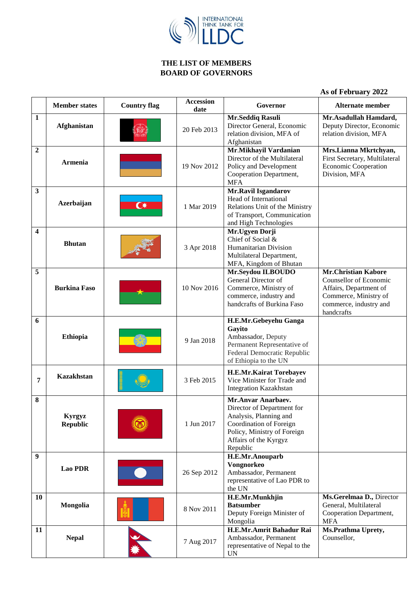

## **THE LIST OF MEMBERS BOARD OF GOVERNORS**

|  |  | As of February 2022 |  |
|--|--|---------------------|--|
|--|--|---------------------|--|

|                         | <b>Member states</b>      | <b>Country flag</b>     | <b>Accession</b><br>date | Governor                                                                                                                                                                  | <b>Alternate member</b>                                                                                                                         |
|-------------------------|---------------------------|-------------------------|--------------------------|---------------------------------------------------------------------------------------------------------------------------------------------------------------------------|-------------------------------------------------------------------------------------------------------------------------------------------------|
| $\mathbf{1}$            | Afghanistan               |                         | 20 Feb 2013              | Mr.Seddiq Rasuli<br>Director General, Economic<br>relation division, MFA of<br>Afghanistan                                                                                | Mr.Asadullah Hamdard,<br>Deputy Director, Economic<br>relation division, MFA                                                                    |
| $\overline{2}$          | <b>Armenia</b>            |                         | 19 Nov 2012              | Mr.Mikhayil Vardanian<br>Director of the Multilateral<br>Policy and Development<br>Cooperation Department,<br><b>MFA</b>                                                  | Mrs.Lianna Mkrtchyan,<br>First Secretary, Multilateral<br><b>Economic Cooperation</b><br>Division, MFA                                          |
| $\mathbf{3}$            | Azerbaijan                | $\overline{\mathbf{C}}$ | 1 Mar 2019               | Mr.Ravil Isgandarov<br>Head of International<br>Relations Unit of the Ministry<br>of Transport, Communication<br>and High Technologies                                    |                                                                                                                                                 |
| $\overline{\mathbf{4}}$ | <b>Bhutan</b>             |                         | 3 Apr 2018               | Mr. Ugyen Dorji<br>Chief of Social &<br>Humanitarian Division<br>Multilateral Department,<br>MFA, Kingdom of Bhutan                                                       |                                                                                                                                                 |
| 5                       | <b>Burkina Faso</b>       |                         | 10 Nov 2016              | Mr.Seydou ILBOUDO<br>General Director of<br>Commerce, Ministry of<br>commerce, industry and<br>handcrafts of Burkina Faso                                                 | <b>Mr.Christian Kabore</b><br>Counsellor of Economic<br>Affairs, Department of<br>Commerce, Ministry of<br>commerce, industry and<br>handcrafts |
| 6                       | <b>Ethiopia</b>           |                         | 9 Jan 2018               | H.E.Mr.Gebeyehu Ganga<br>Gayito<br>Ambassador, Deputy<br>Permanent Representative of<br>Federal Democratic Republic<br>of Ethiopia to the UN                              |                                                                                                                                                 |
| 7                       | <b>Kazakhstan</b>         |                         | 3 Feb 2015               | <b>H.E.Mr.Kairat Torebayev</b><br>Vice Minister for Trade and<br><b>Integration Kazakhstan</b>                                                                            |                                                                                                                                                 |
| 8                       | Kyrgyz<br><b>Republic</b> |                         | 1 Jun 2017               | Mr.Anvar Anarbaev.<br>Director of Department for<br>Analysis, Planning and<br>Coordination of Foreign<br>Policy, Ministry of Foreign<br>Affairs of the Kyrgyz<br>Republic |                                                                                                                                                 |
| 9                       | <b>Lao PDR</b>            |                         | 26 Sep 2012              | H.E.Mr.Anouparb<br>Vongnorkeo<br>Ambassador, Permanent<br>representative of Lao PDR to<br>the UN                                                                          |                                                                                                                                                 |
| 10                      | Mongolia                  |                         | 8 Nov 2011               | H.E.Mr.Munkhjin<br><b>Batsumber</b><br>Deputy Foreign Minister of<br>Mongolia                                                                                             | Ms.Gerelmaa D., Director<br>General, Multilateral<br>Cooperation Department,<br><b>MFA</b>                                                      |
| 11                      | <b>Nepal</b>              |                         | 7 Aug 2017               | H.E.Mr.Amrit Bahadur Rai<br>Ambassador, Permanent<br>representative of Nepal to the<br><b>UN</b>                                                                          | Ms.Prathma Uprety,<br>Counsellor,                                                                                                               |